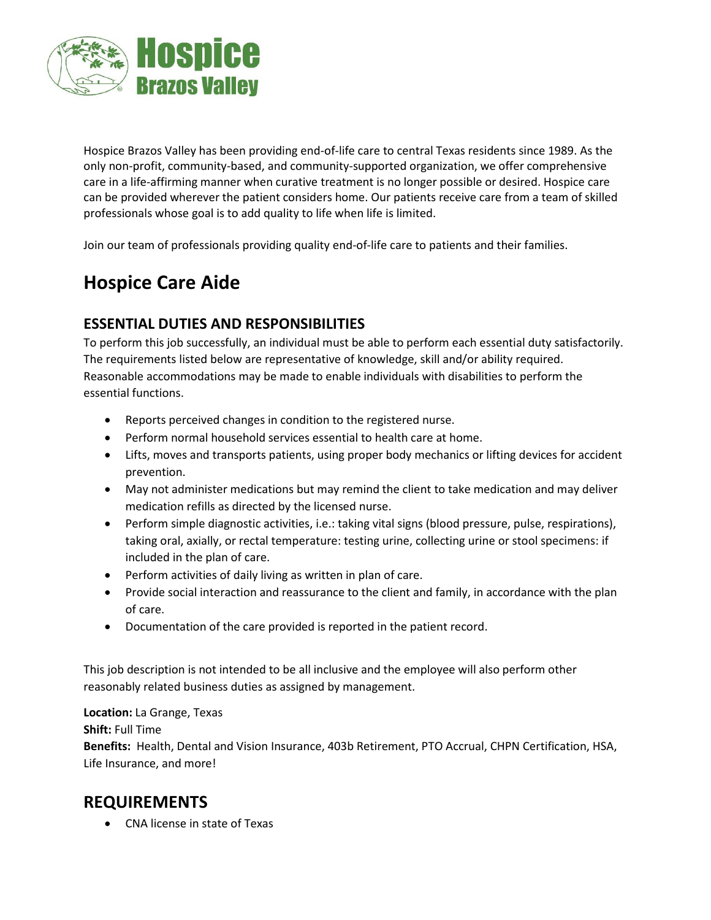

Hospice Brazos Valley has been providing end-of-life care to central Texas residents since 1989. As the only non-profit, community-based, and community-supported organization, we offer comprehensive care in a life-affirming manner when curative treatment is no longer possible or desired. Hospice care can be provided wherever the patient considers home. Our patients receive care from a team of skilled professionals whose goal is to add quality to life when life is limited.

Join our team of professionals providing quality end-of-life care to patients and their families.

## **Hospice Care Aide**

## **ESSENTIAL DUTIES AND RESPONSIBILITIES**

To perform this job successfully, an individual must be able to perform each essential duty satisfactorily. The requirements listed below are representative of knowledge, skill and/or ability required. Reasonable accommodations may be made to enable individuals with disabilities to perform the essential functions.

- Reports perceived changes in condition to the registered nurse.
- Perform normal household services essential to health care at home.
- Lifts, moves and transports patients, using proper body mechanics or lifting devices for accident prevention.
- May not administer medications but may remind the client to take medication and may deliver medication refills as directed by the licensed nurse.
- Perform simple diagnostic activities, i.e.: taking vital signs (blood pressure, pulse, respirations), taking oral, axially, or rectal temperature: testing urine, collecting urine or stool specimens: if included in the plan of care.
- Perform activities of daily living as written in plan of care.
- Provide social interaction and reassurance to the client and family, in accordance with the plan of care.
- Documentation of the care provided is reported in the patient record.

This job description is not intended to be all inclusive and the employee will also perform other reasonably related business duties as assigned by management.

**Location:** La Grange, Texas **Shift:** Full Time **Benefits:** Health, Dental and Vision Insurance, 403b Retirement, PTO Accrual, CHPN Certification, HSA, Life Insurance, and more!

## **REQUIREMENTS**

CNA license in state of Texas